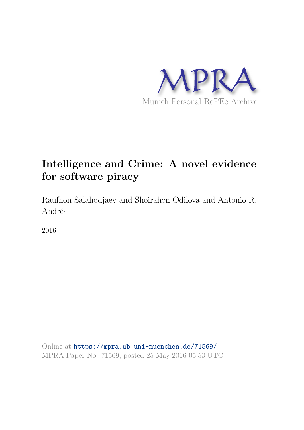

# Intelligence and Crime: A novel evidence for software piracy

Raufhon Salahodjaev and Shoirahon Odilova and Antonio R. Andrés

2016

Online at <https://mpra.ub.uni-muenchen.de/71569/> MPRA Paper No. 71569, posted 25 May 2016 05:53 UTC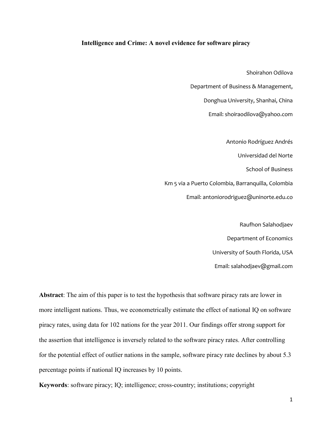## Intelligence and Crime: A novel evidence for software piracy

Shoirahon Odilova

Department of Business & Management,

Donghua University, Shanhai, China

Email: shoiraodilova@yahoo.com

Antonio Rodríguez Andrés

Universidad del Norte

School of Business

Km 5 via a Puerto Colombia, Barranquilla, Colombia

Email: antoniorodriguez@uninorte.edu.co

Raufhon Salahodjaev Department of Economics University of South Florida, USA Email: salahodjaev@gmail.com

Abstract: The aim of this paper is to test the hypothesis that software piracy rats are lower in more intelligent nations. Thus, we econometrically estimate the effect of national IQ on software piracy rates, using data for 102 nations for the year 2011. Our findings offer strong support for the assertion that intelligence is inversely related to the software piracy rates. After controlling for the potential effect of outlier nations in the sample, software piracy rate declines by about 5.3 percentage points if national IQ increases by 10 points.

Keywords: software piracy; IQ; intelligence; cross-country; institutions; copyright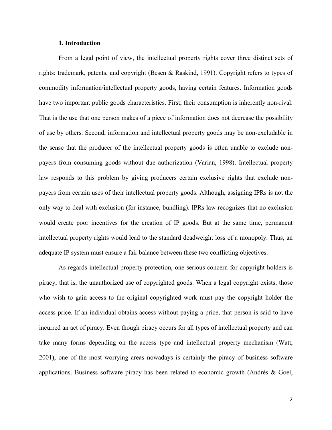## 1. Introduction

From a legal point of view, the intellectual property rights cover three distinct sets of rights: trademark, patents, and copyright (Besen & Raskind, 1991). Copyright refers to types of commodity information/intellectual property goods, having certain features. Information goods have two important public goods characteristics. First, their consumption is inherently non-rival. That is the use that one person makes of a piece of information does not decrease the possibility of use by others. Second, information and intellectual property goods may be non-excludable in the sense that the producer of the intellectual property goods is often unable to exclude nonpayers from consuming goods without due authorization (Varian, 1998). Intellectual property law responds to this problem by giving producers certain exclusive rights that exclude nonpayers from certain uses of their intellectual property goods. Although, assigning IPRs is not the only way to deal with exclusion (for instance, bundling). IPRs law recognizes that no exclusion would create poor incentives for the creation of IP goods. But at the same time, permanent intellectual property rights would lead to the standard deadweight loss of a monopoly. Thus, an adequate IP system must ensure a fair balance between these two conflicting objectives.

As regards intellectual property protection, one serious concern for copyright holders is piracy; that is, the unauthorized use of copyrighted goods. When a legal copyright exists, those who wish to gain access to the original copyrighted work must pay the copyright holder the access price. If an individual obtains access without paying a price, that person is said to have incurred an act of piracy. Even though piracy occurs for all types of intellectual property and can take many forms depending on the access type and intellectual property mechanism (Watt, 2001), one of the most worrying areas nowadays is certainly the piracy of business software applications. Business software piracy has been related to economic growth (Andrés & Goel,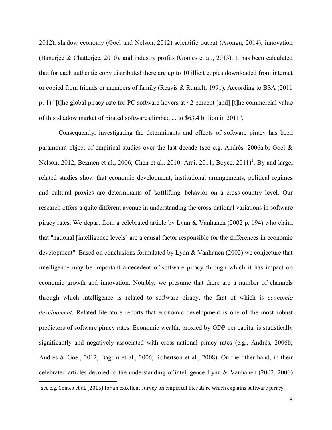2012), shadow economy (Goel and Nelson, 2012) scientific output (Asongu, 2014), innovation (Banerjee & Chatterjee, 2010), and industry profits (Gomes et al., 2013). It has been calculated that for each authentic copy distributed there are up to 10 illicit copies downloaded from internet or copied from friends or members of family (Reavis & Rumelt, 1991). According to BSA (2011 p. 1) "[t]he global piracy rate for PC software hovers at 42 percent [and] [t]he commercial value of this shadow market of pirated software climbed ... to \$63.4 billion in 2011".

Consequently, investigating the determinants and effects of software piracy has been paramount object of empirical studies over the last decade (see e.g. Andrés. 2006a,b; Goel & Nelson, 2012; Bezmen et al., 2006; Chen et al., 2010; Arai, 2011; Boyce, 2011)<sup>1</sup>. By and large, related studies show that economic development, institutional arrangements, political regimes and cultural proxies are determinants of 'softlifting' behavior on a cross-country level. Our research offers a quite different avenue in understanding the cross-national variations in software piracy rates. We depart from a celebrated article by Lynn & Vanhanen (2002 p. 194) who claim that "national [intelligence levels] are a causal factor responsible for the differences in economic development". Based on conclusions formulated by Lynn & Vanhanen (2002) we conjecture that intelligence may be important antecedent of software piracy through which it has impact on economic growth and innovation. Notably, we presume that there are a number of channels through which intelligence is related to software piracy, the first of which is economic development. Related literature reports that economic development is one of the most robust predictors of software piracy rates. Economic wealth, proxied by GDP per capita, is statistically significantly and negatively associated with cross-national piracy rates (e.g., Andrés, 2006b; Andrés & Goel, 2012; Bagchi et al., 2006; Robertson et al., 2008). On the other hand, in their celebrated articles devoted to the understanding of intelligence Lynn & Vanhanen (2002, 2006)

**.** 

<sup>1</sup>see e.g. Gomes et al. (2015) for an excellent survey on empirical literature which explains software piracy.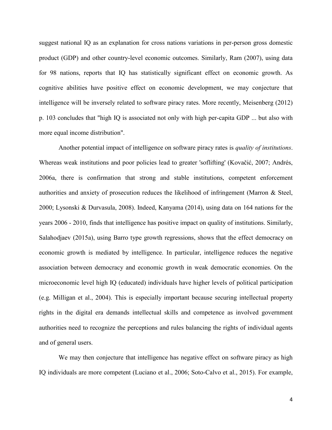suggest national IQ as an explanation for cross nations variations in per-person gross domestic product (GDP) and other country-level economic outcomes. Similarly, Ram (2007), using data for 98 nations, reports that IQ has statistically significant effect on economic growth. As cognitive abilities have positive effect on economic development, we may conjecture that intelligence will be inversely related to software piracy rates. More recently, Meisenberg (2012) p. 103 concludes that "high IQ is associated not only with high per-capita GDP ... but also with more equal income distribution".

Another potential impact of intelligence on software piracy rates is quality of institutions. Whereas weak institutions and poor policies lead to greater 'soflifting' (Kovačić, 2007; Andrés, 2006a, there is confirmation that strong and stable institutions, competent enforcement authorities and anxiety of prosecution reduces the likelihood of infringement (Marron & Steel, 2000; Lysonski & Durvasula, 2008). Indeed, Kanyama (2014), using data on 164 nations for the years 2006 - 2010, finds that intelligence has positive impact on quality of institutions. Similarly, Salahodjaev (2015a), using Barro type growth regressions, shows that the effect democracy on economic growth is mediated by intelligence. In particular, intelligence reduces the negative association between democracy and economic growth in weak democratic economies. On the microeconomic level high IQ (educated) individuals have higher levels of political participation (e.g. Milligan et al., 2004). This is especially important because securing intellectual property rights in the digital era demands intellectual skills and competence as involved government authorities need to recognize the perceptions and rules balancing the rights of individual agents and of general users.

We may then conjecture that intelligence has negative effect on software piracy as high IQ individuals are more competent (Luciano et al., 2006; Soto-Calvo et al., 2015). For example,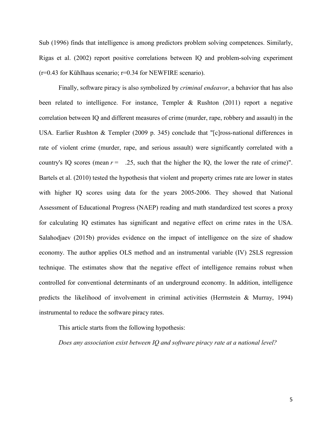Sub (1996) finds that intelligence is among predictors problem solving competences. Similarly, Rigas et al. (2002) report positive correlations between IQ and problem-solving experiment  $(r=0.43$  for Kühlhaus scenario;  $r=0.34$  for NEWFIRE scenario).

Finally, software piracy is also symbolized by criminal endeavor, a behavior that has also been related to intelligence. For instance, Templer & Rushton (2011) report a negative correlation between IQ and different measures of crime (murder, rape, robbery and assault) in the USA. Earlier Rushton & Templer (2009 p. 345) conclude that "[c]ross-national differences in rate of violent crime (murder, rape, and serious assault) were significantly correlated with a country's IQ scores (mean  $r = 0.25$ , such that the higher the IQ, the lower the rate of crime)". Bartels et al. (2010) tested the hypothesis that violent and property crimes rate are lower in states with higher IQ scores using data for the years 2005-2006. They showed that National Assessment of Educational Progress (NAEP) reading and math standardized test scores a proxy for calculating IQ estimates has significant and negative effect on crime rates in the USA. Salahodjaev (2015b) provides evidence on the impact of intelligence on the size of shadow economy. The author applies OLS method and an instrumental variable (IV) 2SLS regression technique. The estimates show that the negative effect of intelligence remains robust when controlled for conventional determinants of an underground economy. In addition, intelligence predicts the likelihood of involvement in criminal activities (Herrnstein & Murray, 1994) instrumental to reduce the software piracy rates.

This article starts from the following hypothesis:

Does any association exist between IQ and software piracy rate at a national level?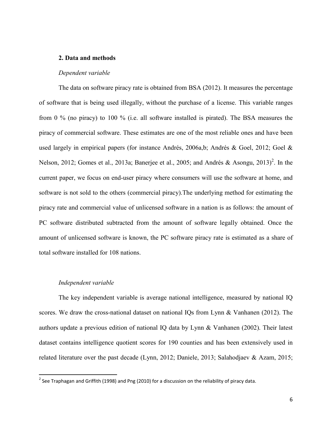## 2. Data and methods

#### Dependent variable

The data on software piracy rate is obtained from BSA (2012). It measures the percentage of software that is being used illegally, without the purchase of a license. This variable ranges from 0 % (no piracy) to 100 % (i.e. all software installed is pirated). The BSA measures the piracy of commercial software. These estimates are one of the most reliable ones and have been used largely in empirical papers (for instance Andrés, 2006a,b; Andrés & Goel, 2012; Goel & Nelson, 2012; Gomes et al., 2013a; Banerjee et al., 2005; and Andrés & Asongu, 2013)<sup>2</sup>. In the current paper, we focus on end-user piracy where consumers will use the software at home, and software is not sold to the others (commercial piracy).The underlying method for estimating the piracy rate and commercial value of unlicensed software in a nation is as follows: the amount of PC software distributed subtracted from the amount of software legally obtained. Once the amount of unlicensed software is known, the PC software piracy rate is estimated as a share of total software installed for 108 nations.

#### Independent variable

The key independent variable is average national intelligence, measured by national IQ scores. We draw the cross-national dataset on national IQs from Lynn & Vanhanen (2012). The authors update a previous edition of national IQ data by Lynn & Vanhanen (2002). Their latest dataset contains intelligence quotient scores for 190 counties and has been extensively used in related literature over the past decade (Lynn, 2012; Daniele, 2013; Salahodjaev & Azam, 2015;

<sup>&</sup>lt;sup>2</sup> See Traphagan and Griffith (1998) and Png (2010) for a discussion on the reliability of piracy data.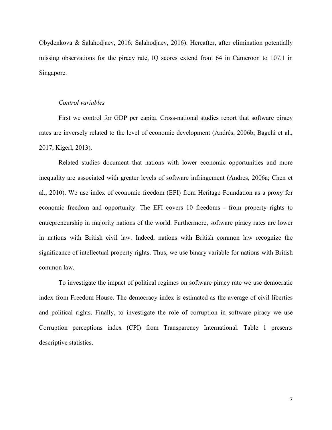Obydenkova & Salahodjaev, 2016; Salahodjaev, 2016). Hereafter, after elimination potentially missing observations for the piracy rate, IQ scores extend from 64 in Cameroon to 107.1 in Singapore.

## Control variables

First we control for GDP per capita. Cross-national studies report that software piracy rates are inversely related to the level of economic development (Andrés, 2006b; Bagchi et al., 2017; Kigerl, 2013).

Related studies document that nations with lower economic opportunities and more inequality are associated with greater levels of software infringement (Andres, 2006a; Chen et al., 2010). We use index of economic freedom (EFI) from Heritage Foundation as a proxy for economic freedom and opportunity. The EFI covers 10 freedoms - from property rights to entrepreneurship in majority nations of the world. Furthermore, software piracy rates are lower in nations with British civil law. Indeed, nations with British common law recognize the significance of intellectual property rights. Thus, we use binary variable for nations with British common law.

To investigate the impact of political regimes on software piracy rate we use democratic index from Freedom House. The democracy index is estimated as the average of civil liberties and political rights. Finally, to investigate the role of corruption in software piracy we use Corruption perceptions index (CPI) from Transparency International. Table 1 presents descriptive statistics.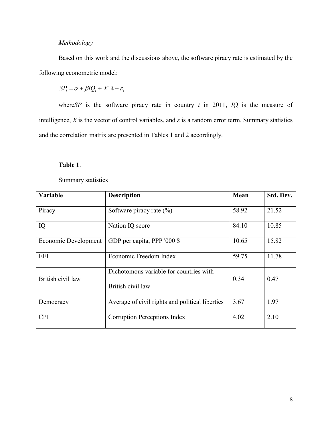## Methodology

Based on this work and the discussions above, the software piracy rate is estimated by the following econometric model:

 $SP_i = \alpha + \beta IQ_i + X' \lambda + \varepsilon_i$ 

where SP is the software piracy rate in country  $i$  in 2011,  $IQ$  is the measure of intelligence, X is the vector of control variables, and  $\varepsilon$  is a random error term. Summary statistics and the correlation matrix are presented in Tables 1 and 2 accordingly.

## Table 1.

Summary statistics

| Variable             | <b>Description</b>                                           | Mean  | Std. Dev. |
|----------------------|--------------------------------------------------------------|-------|-----------|
| Piracy               | Software piracy rate $(\% )$                                 | 58.92 | 21.52     |
| IQ                   | Nation IQ score                                              | 84.10 | 10.85     |
| Economic Development | GDP per capita, PPP '000 \$                                  | 10.65 | 15.82     |
| <b>EFI</b>           | Economic Freedom Index                                       | 59.75 | 11.78     |
| British civil law    | Dichotomous variable for countries with<br>British civil law | 0.34  | 0.47      |
| Democracy            | Average of civil rights and political liberties              | 3.67  | 1.97      |
| <b>CPI</b>           | <b>Corruption Perceptions Index</b>                          | 4.02  | 2.10      |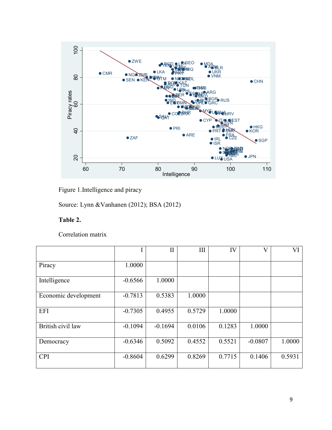



Source: Lynn &Vanhanen (2012); BSA (2012)

# Table 2.

Correlation matrix

|                      |           | $\mathbf{I}$ | III    | IV     | $\rm _V$  | VI     |
|----------------------|-----------|--------------|--------|--------|-----------|--------|
| Piracy               | 1.0000    |              |        |        |           |        |
| Intelligence         | $-0.6566$ | 1.0000       |        |        |           |        |
| Economic development | $-0.7813$ | 0.5383       | 1.0000 |        |           |        |
| <b>EFI</b>           | $-0.7305$ | 0.4955       | 0.5729 | 1.0000 |           |        |
| British civil law    | $-0.1094$ | $-0.1694$    | 0.0106 | 0.1283 | 1.0000    |        |
| Democracy            | $-0.6346$ | 0.5092       | 0.4552 | 0.5521 | $-0.0807$ | 1.0000 |
| <b>CPI</b>           | $-0.8604$ | 0.6299       | 0.8269 | 0.7715 | 0.1406    | 0.5931 |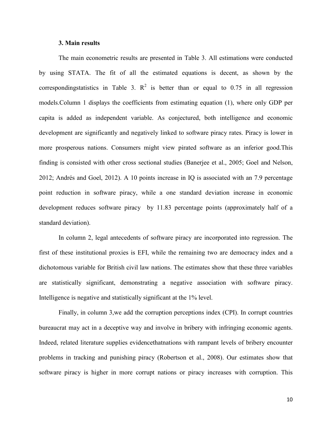## 3. Main results

The main econometric results are presented in Table 3. All estimations were conducted by using STATA. The fit of all the estimated equations is decent, as shown by the corresponding statistics in Table 3.  $\mathbb{R}^2$  is better than or equal to 0.75 in all regression models.Column 1 displays the coefficients from estimating equation (1), where only GDP per capita is added as independent variable. As conjectured, both intelligence and economic development are significantly and negatively linked to software piracy rates. Piracy is lower in more prosperous nations. Consumers might view pirated software as an inferior good.This finding is consisted with other cross sectional studies (Banerjee et al., 2005; Goel and Nelson, 2012; Andrés and Goel, 2012). A 10 points increase in IQ is associated with an 7.9 percentage point reduction in software piracy, while a one standard deviation increase in economic development reduces software piracy by 11.83 percentage points (approximately half of a standard deviation).

In column 2, legal antecedents of software piracy are incorporated into regression. The first of these institutional proxies is EFI, while the remaining two are democracy index and a dichotomous variable for British civil law nations. The estimates show that these three variables are statistically significant, demonstrating a negative association with software piracy. Intelligence is negative and statistically significant at the 1% level.

Finally, in column 3,we add the corruption perceptions index (CPI). In corrupt countries bureaucrat may act in a deceptive way and involve in bribery with infringing economic agents. Indeed, related literature supplies evidencethatnations with rampant levels of bribery encounter problems in tracking and punishing piracy (Robertson et al., 2008). Our estimates show that software piracy is higher in more corrupt nations or piracy increases with corruption. This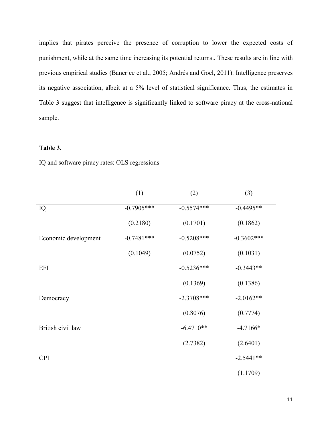implies that pirates perceive the presence of corruption to lower the expected costs of punishment, while at the same time increasing its potential returns.. These results are in line with previous empirical studies (Banerjee et al., 2005; Andrés and Goel, 2011). Intelligence preserves its negative association, albeit at a 5% level of statistical significance. Thus, the estimates in Table 3 suggest that intelligence is significantly linked to software piracy at the cross-national sample.

## Table 3.

IQ and software piracy rates: OLS regressions

|                      | (1)          | (2)          | (3)           |
|----------------------|--------------|--------------|---------------|
| IQ                   | $-0.7905***$ | $-0.5574***$ | $-0.4495**$   |
|                      | (0.2180)     | (0.1701)     | (0.1862)      |
| Economic development | $-0.7481***$ | $-0.5208***$ | $-0.3602$ *** |
|                      | (0.1049)     | (0.0752)     | (0.1031)      |
| <b>EFI</b>           |              | $-0.5236***$ | $-0.3443**$   |
|                      |              | (0.1369)     | (0.1386)      |
| Democracy            |              | $-2.3708***$ | $-2.0162**$   |
|                      |              | (0.8076)     | (0.7774)      |
| British civil law    |              | $-6.4710**$  | $-4.7166*$    |
|                      |              | (2.7382)     | (2.6401)      |
| <b>CPI</b>           |              |              | $-2.5441**$   |
|                      |              |              | (1.1709)      |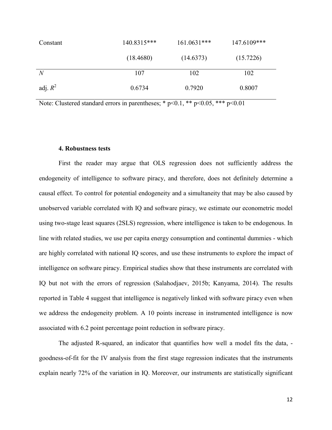| Constant       | 140.8315*** | $161.0631***$ | 147.6109*** |
|----------------|-------------|---------------|-------------|
|                | (18.4680)   | (14.6373)     | (15.7226)   |
| $\overline{N}$ | 107         | 102           | 102         |
| adj. $R^2$     | 0.6734      | 0.7920        | 0.8007      |

Note: Clustered standard errors in parentheses; \*  $p<0.1$ , \*\*  $p<0.05$ , \*\*\*  $p<0.01$ 

#### 4. Robustness tests

First the reader may argue that OLS regression does not sufficiently address the endogeneity of intelligence to software piracy, and therefore, does not definitely determine a causal effect. To control for potential endogeneity and a simultaneity that may be also caused by unobserved variable correlated with IQ and software piracy, we estimate our econometric model using two-stage least squares (2SLS) regression, where intelligence is taken to be endogenous. In line with related studies, we use per capita energy consumption and continental dummies - which are highly correlated with national IQ scores, and use these instruments to explore the impact of intelligence on software piracy. Empirical studies show that these instruments are correlated with IQ but not with the errors of regression (Salahodjaev, 2015b; Kanyama, 2014). The results reported in Table 4 suggest that intelligence is negatively linked with software piracy even when we address the endogeneity problem. A 10 points increase in instrumented intelligence is now associated with 6.2 point percentage point reduction in software piracy.

The adjusted R-squared, an indicator that quantifies how well a model fits the data, goodness-of-fit for the IV analysis from the first stage regression indicates that the instruments explain nearly 72% of the variation in IQ. Moreover, our instruments are statistically significant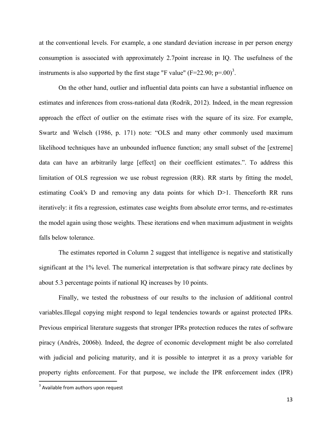at the conventional levels. For example, a one standard deviation increase in per person energy consumption is associated with approximately 2.7point increase in IQ. The usefulness of the instruments is also supported by the first stage "F value" (F=22.90; p=.00)<sup>3</sup>.

On the other hand, outlier and influential data points can have a substantial influence on estimates and inferences from cross-national data (Rodrik, 2012). Indeed, in the mean regression approach the effect of outlier on the estimate rises with the square of its size. For example, Swartz and Welsch (1986, p. 171) note: "OLS and many other commonly used maximum likelihood techniques have an unbounded influence function; any small subset of the [extreme] data can have an arbitrarily large [effect] on their coefficient estimates.". To address this limitation of OLS regression we use robust regression (RR). RR starts by fitting the model, estimating Cook's D and removing any data points for which D>1. Thenceforth RR runs iteratively: it fits a regression, estimates case weights from absolute error terms, and re-estimates the model again using those weights. These iterations end when maximum adjustment in weights falls below tolerance.

The estimates reported in Column 2 suggest that intelligence is negative and statistically significant at the 1% level. The numerical interpretation is that software piracy rate declines by about 5.3 percentage points if national IQ increases by 10 points.

Finally, we tested the robustness of our results to the inclusion of additional control variables.Illegal copying might respond to legal tendencies towards or against protected IPRs. Previous empirical literature suggests that stronger IPRs protection reduces the rates of software piracy (Andrés, 2006b). Indeed, the degree of economic development might be also correlated with judicial and policing maturity, and it is possible to interpret it as a proxy variable for property rights enforcement. For that purpose, we include the IPR enforcement index (IPR)

 $3$  Available from authors upon request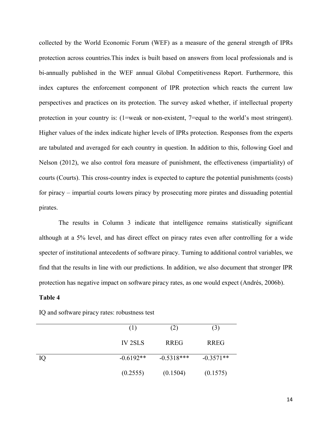collected by the World Economic Forum (WEF) as a measure of the general strength of IPRs protection across countries.This index is built based on answers from local professionals and is bi-annually published in the WEF annual Global Competitiveness Report. Furthermore, this index captures the enforcement component of IPR protection which reacts the current law perspectives and practices on its protection. The survey asked whether, if intellectual property protection in your country is: (1=weak or non-existent, 7=equal to the world's most stringent). Higher values of the index indicate higher levels of IPRs protection. Responses from the experts are tabulated and averaged for each country in question. In addition to this, following Goel and Nelson (2012), we also control fora measure of punishment, the effectiveness (impartiality) of courts (Courts). This cross-country index is expected to capture the potential punishments (costs) for piracy – impartial courts lowers piracy by prosecuting more pirates and dissuading potential pirates.

The results in Column 3 indicate that intelligence remains statistically significant although at a 5% level, and has direct effect on piracy rates even after controlling for a wide specter of institutional antecedents of software piracy. Turning to additional control variables, we find that the results in line with our predictions. In addition, we also document that stronger IPR protection has negative impact on software piracy rates, as one would expect (Andrés, 2006b).

## Table 4

|    | (1)            | (2)          | (3)         |
|----|----------------|--------------|-------------|
|    | <b>IV 2SLS</b> | <b>RREG</b>  | <b>RREG</b> |
| IQ | $-0.6192**$    | $-0.5318***$ | $-0.3571**$ |
|    | (0.2555)       | (0.1504)     | (0.1575)    |

IQ and software piracy rates: robustness test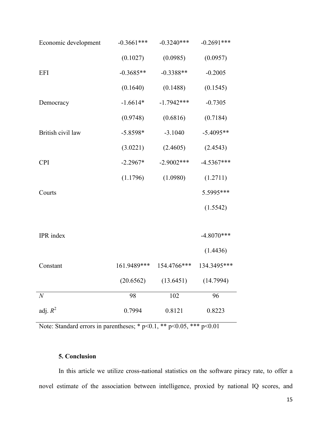| Economic development | $-0.3661$ *** | $-0.3240***$ | $-0.2691***$ |
|----------------------|---------------|--------------|--------------|
|                      | (0.1027)      | (0.0985)     | (0.0957)     |
| <b>EFI</b>           | $-0.3685**$   | $-0.3388**$  | $-0.2005$    |
|                      | (0.1640)      | (0.1488)     | (0.1545)     |
| Democracy            | $-1.6614*$    | $-1.7942***$ | $-0.7305$    |
|                      | (0.9748)      | (0.6816)     | (0.7184)     |
| British civil law    | $-5.8598*$    | $-3.1040$    | $-5.4095**$  |
|                      | (3.0221)      | (2.4605)     | (2.4543)     |
| <b>CPI</b>           | $-2.2967*$    | $-2.9002***$ | $-4.5367***$ |
|                      | (1.1796)      | (1.0980)     | (1.2711)     |
| Courts               |               |              | 5.5995***    |
|                      |               |              | (1.5542)     |
|                      |               |              |              |
| IPR index            |               |              | $-4.8070***$ |
|                      |               |              | (1.4436)     |
| Constant             | 161.9489***   | 154.4766***  | 134.3495***  |
|                      | (20.6562)     | (13.6451)    | (14.7994)    |
| $\overline{N}$       | 98            | 102          | 96           |
| adj. $R^2$           | 0.7994        | 0.8121       | 0.8223       |

Note: Standard errors in parentheses; \* p<0.1, \*\* p<0.05, \*\*\* p<0.01

## 5. Conclusion

In this article we utilize cross-national statistics on the software piracy rate, to offer a novel estimate of the association between intelligence, proxied by national IQ scores, and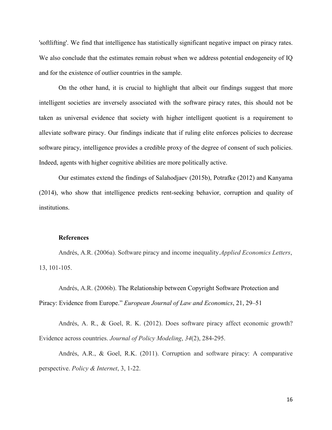'softlifting'. We find that intelligence has statistically significant negative impact on piracy rates. We also conclude that the estimates remain robust when we address potential endogeneity of IQ and for the existence of outlier countries in the sample.

On the other hand, it is crucial to highlight that albeit our findings suggest that more intelligent societies are inversely associated with the software piracy rates, this should not be taken as universal evidence that society with higher intelligent quotient is a requirement to alleviate software piracy. Our findings indicate that if ruling elite enforces policies to decrease software piracy, intelligence provides a credible proxy of the degree of consent of such policies. Indeed, agents with higher cognitive abilities are more politically active.

Our estimates extend the findings of Salahodjaev (2015b), Potrafke (2012) and Kanyama (2014), who show that intelligence predicts rent-seeking behavior, corruption and quality of institutions.

## **References**

Andrés, A.R. (2006a). Software piracy and income inequality.Applied Economics Letters, 13, 101-105.

Andrés, A.R. (2006b). The Relationship between Copyright Software Protection and Piracy: Evidence from Europe." European Journal of Law and Economics, 21, 29–51

Andrés, A. R., & Goel, R. K. (2012). Does software piracy affect economic growth? Evidence across countries. Journal of Policy Modeling, 34(2), 284-295.

Andrés, A.R., & Goel, R.K. (2011). Corruption and software piracy: A comparative perspective. Policy & Internet, 3, 1-22.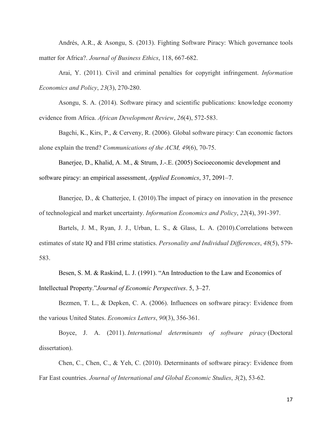Andrés, A.R., & Asongu, S. (2013). Fighting Software Piracy: Which governance tools matter for Africa?. Journal of Business Ethics, 118, 667-682.

Arai, Y. (2011). Civil and criminal penalties for copyright infringement. Information Economics and Policy, 23(3), 270-280.

Asongu, S. A. (2014). Software piracy and scientific publications: knowledge economy evidence from Africa. African Development Review, 26(4), 572-583.

Bagchi, K., Kirs, P., & Cerveny, R. (2006). Global software piracy: Can economic factors alone explain the trend? Communications of the ACM, 49(6), 70-75.

Banerjee, D., Khalid, A. M., & Strum, J.-.E. (2005) Socioeconomic development and software piracy: an empirical assessment, Applied Economics, 37, 2091–7.

Banerjee, D., & Chatterjee, I. (2010).The impact of piracy on innovation in the presence of technological and market uncertainty. Information Economics and Policy, 22(4), 391-397.

Bartels, J. M., Ryan, J. J., Urban, L. S., & Glass, L. A. (2010).Correlations between estimates of state IQ and FBI crime statistics. Personality and Individual Differences, 48(5), 579- 583.

Besen, S. M. & Raskind, L. J. (1991). "An Introduction to the Law and Economics of Intellectual Property."Journal of Economic Perspectives. 5, 3–27.

Bezmen, T. L., & Depken, C. A. (2006). Influences on software piracy: Evidence from the various United States. Economics Letters, 90(3), 356-361.

Boyce, J. A. (2011). International determinants of software piracy (Doctoral dissertation).

Chen, C., Chen, C., & Yeh, C. (2010). Determinants of software piracy: Evidence from Far East countries. Journal of International and Global Economic Studies, 3(2), 53-62.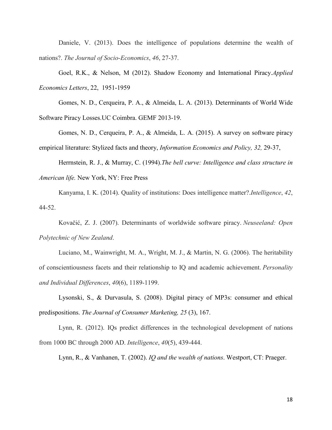Daniele, V. (2013). Does the intelligence of populations determine the wealth of nations?. The Journal of Socio-Economics, 46, 27-37.

Goel, R.K., & Nelson, M (2012). Shadow Economy and International Piracy.Applied Economics Letters, 22, 1951-1959

Gomes, N. D., Cerqueira, P. A., & Almeida, L. A. (2013). Determinants of World Wide Software Piracy Losses.UC Coimbra. GEMF 2013-19.

Gomes, N. D., Cerqueira, P. A., & Almeida, L. A. (2015). A survey on software piracy empirical literature: Stylized facts and theory, Information Economics and Policy, 32, 29-37,

Herrnstein, R. J., & Murray, C. (1994).The bell curve: Intelligence and class structure in American life. New York, NY: Free Press

Kanyama, I. K. (2014). Quality of institutions: Does intelligence matter?.Intelligence, 42, 44-52.

Kovačić, Z. J. (2007). Determinants of worldwide software piracy. Neuseeland: Open Polytechnic of New Zealand.

Luciano, M., Wainwright, M. A., Wright, M. J., & Martin, N. G. (2006). The heritability of conscientiousness facets and their relationship to IQ and academic achievement. Personality and Individual Differences, 40(6), 1189-1199.

Lysonski, S., & Durvasula, S. (2008). Digital piracy of MP3s: consumer and ethical predispositions. The Journal of Consumer Marketing, 25 (3), 167.

Lynn, R. (2012). IQs predict differences in the technological development of nations from 1000 BC through 2000 AD. Intelligence, 40(5), 439-444.

Lynn, R., & Vanhanen, T. (2002). IQ and the wealth of nations. Westport, CT: Praeger.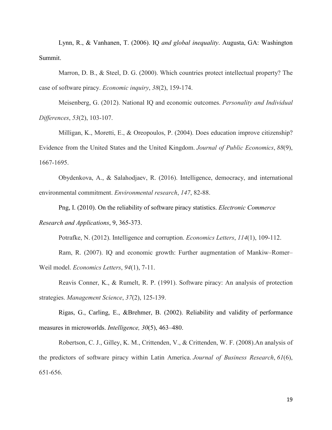Lynn, R., & Vanhanen, T. (2006). IQ and global inequality. Augusta, GA: Washington Summit.

Marron, D. B., & Steel, D. G. (2000). Which countries protect intellectual property? The case of software piracy. Economic inquiry, 38(2), 159-174.

Meisenberg, G. (2012). National IQ and economic outcomes. Personality and Individual Differences, 53(2), 103-107.

Milligan, K., Moretti, E., & Oreopoulos, P. (2004). Does education improve citizenship? Evidence from the United States and the United Kingdom. Journal of Public Economics, 88(9), 1667-1695.

Obydenkova, A., & Salahodjaev, R. (2016). Intelligence, democracy, and international environmental commitment. Environmental research, 147, 82-88.

Png, I. (2010). On the reliability of software piracy statistics. Electronic Commerce Research and Applications, 9, 365-373.

Potrafke, N. (2012). Intelligence and corruption. *Economics Letters*, 114(1), 109-112.

Ram, R. (2007). IQ and economic growth: Further augmentation of Mankiw–Romer– Weil model. Economics Letters, 94(1), 7-11.

Reavis Conner, K., & Rumelt, R. P. (1991). Software piracy: An analysis of protection strategies. Management Science, 37(2), 125-139.

Rigas, G., Carling, E., &Brehmer, B. (2002). Reliability and validity of performance measures in microworlds. Intelligence, 30(5), 463–480.

Robertson, C. J., Gilley, K. M., Crittenden, V., & Crittenden, W. F. (2008).An analysis of the predictors of software piracy within Latin America. Journal of Business Research, 61(6), 651-656.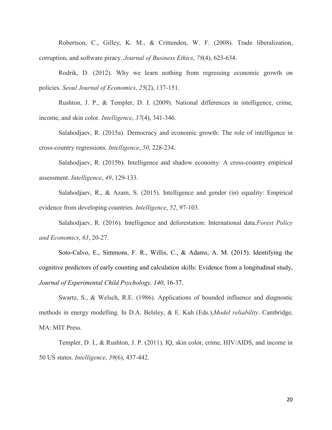Robertson, C., Gilley, K. M., & Crittenden, W. F. (2008). Trade liberalization, corruption, and software piracy. Journal of Business Ethics, 78(4), 623-634.

Rodrik, D. (2012). Why we learn nothing from regressing economic growth on policies. Seoul Journal of Economics, 25(2), 137-151.

Rushton, J. P., & Templer, D. I. (2009). National differences in intelligence, crime, income, and skin color. Intelligence, 37(4), 341-346.

Salahodjaev, R. (2015a). Democracy and economic growth: The role of intelligence in cross-country regressions. Intelligence, 50, 228-234.

Salahodjaev, R. (2015b). Intelligence and shadow economy: A cross-country empirical assessment. Intelligence, 49, 129-133.

Salahodjaev, R., & Azam, S. (2015). Intelligence and gender (in) equality: Empirical evidence from developing countries. Intelligence, 52, 97-103.

Salahodjaev, R. (2016). Intelligence and deforestation: International data.Forest Policy and Economics, 63, 20-27.

Soto-Calvo, E., Simmons, F. R., Willis, C., & Adams, A. M. (2015). Identifying the cognitive predictors of early counting and calculation skills: Evidence from a longitudinal study, Journal of Experimental Child Psychology, 140, 16-37.

Swartz, S., & Welsch, R.E. (1986). Applications of bounded influence and diagnostic methods in energy modelling. In D.A. Belsley, & E. Kuh (Eds.),Model reliability. Cambridge, MA: MIT Press.

Templer, D. I., & Rushton, J. P. (2011). IQ, skin color, crime, HIV/AIDS, and income in 50 US states. Intelligence, 39(6), 437-442.